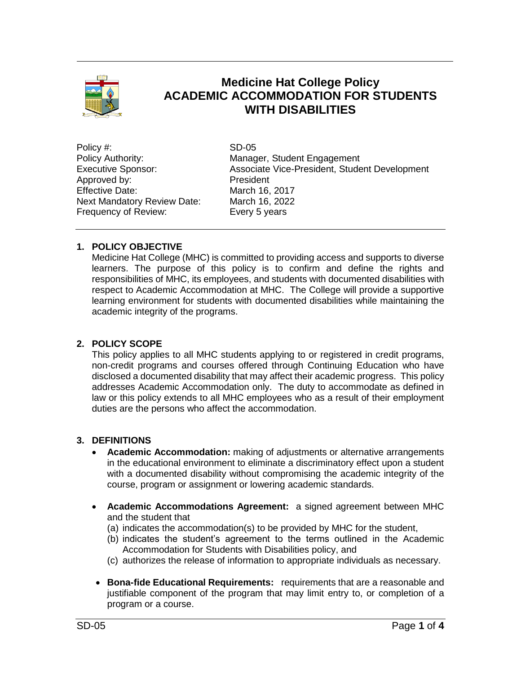

# **Medicine Hat College Policy ACADEMIC ACCOMMODATION FOR STUDENTS WITH DISABILITIES**

Policy #: SD-05 Approved by: President Effective Date: March 16, 2017<br>Next Mandatory Review Date: March 16, 2022 Next Mandatory Review Date: Frequency of Review: Every 5 years

Policy Authority: Manager, Student Engagement Executive Sponsor: Associate Vice-President, Student Development

# **1. POLICY OBJECTIVE**

Medicine Hat College (MHC) is committed to providing access and supports to diverse learners. The purpose of this policy is to confirm and define the rights and responsibilities of MHC, its employees, and students with documented disabilities with respect to Academic Accommodation at MHC. The College will provide a supportive learning environment for students with documented disabilities while maintaining the academic integrity of the programs.

# **2. POLICY SCOPE**

This policy applies to all MHC students applying to or registered in credit programs, non-credit programs and courses offered through Continuing Education who have disclosed a documented disability that may affect their academic progress. This policy addresses Academic Accommodation only. The duty to accommodate as defined in law or this policy extends to all MHC employees who as a result of their employment duties are the persons who affect the accommodation.

# **3. DEFINITIONS**

- **Academic Accommodation:** making of adjustments or alternative arrangements in the educational environment to eliminate a discriminatory effect upon a student with a documented disability without compromising the academic integrity of the course, program or assignment or lowering academic standards.
- **Academic Accommodations Agreement:** a signed agreement between MHC and the student that
	- (a) indicates the accommodation(s) to be provided by MHC for the student,
	- (b) indicates the student's agreement to the terms outlined in the Academic Accommodation for Students with Disabilities policy, and
	- (c) authorizes the release of information to appropriate individuals as necessary.
- **Bona-fide Educational Requirements:** requirements that are a reasonable and justifiable component of the program that may limit entry to, or completion of a program or a course.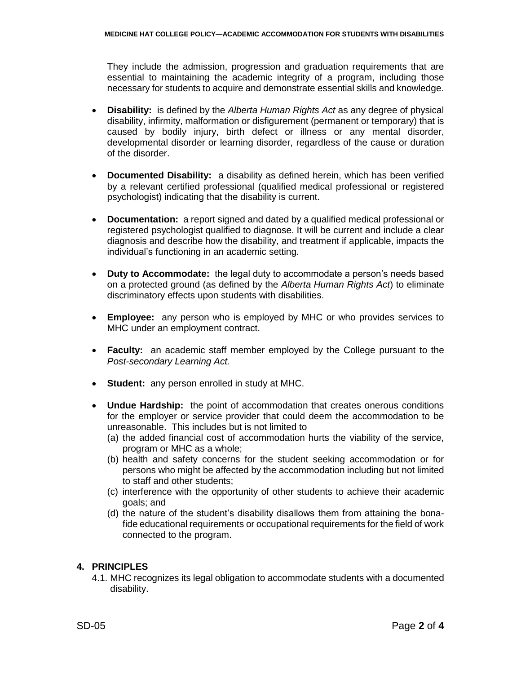They include the admission, progression and graduation requirements that are essential to maintaining the academic integrity of a program, including those necessary for students to acquire and demonstrate essential skills and knowledge.

- **Disability:** is defined by the *Alberta Human Rights Act* as any degree of physical disability, infirmity, malformation or disfigurement (permanent or temporary) that is caused by bodily injury, birth defect or illness or any mental disorder, developmental disorder or learning disorder, regardless of the cause or duration of the disorder.
- **Documented Disability:** a disability as defined herein, which has been verified by a relevant certified professional (qualified medical professional or registered psychologist) indicating that the disability is current.
- **Documentation:** a report signed and dated by a qualified medical professional or registered psychologist qualified to diagnose. It will be current and include a clear diagnosis and describe how the disability, and treatment if applicable, impacts the individual's functioning in an academic setting.
- **Duty to Accommodate:** the legal duty to accommodate a person's needs based on a protected ground (as defined by the *Alberta Human Rights Act*) to eliminate discriminatory effects upon students with disabilities.
- **Employee:** any person who is employed by MHC or who provides services to MHC under an employment contract.
- **Faculty:** an academic staff member employed by the College pursuant to the *Post-secondary Learning Act.*
- **Student:** any person enrolled in study at MHC.
- **Undue Hardship:** the point of accommodation that creates onerous conditions for the employer or service provider that could deem the accommodation to be unreasonable. This includes but is not limited to
	- (a) the added financial cost of accommodation hurts the viability of the service, program or MHC as a whole;
	- (b) health and safety concerns for the student seeking accommodation or for persons who might be affected by the accommodation including but not limited to staff and other students;
	- (c) interference with the opportunity of other students to achieve their academic goals; and
	- (d) the nature of the student's disability disallows them from attaining the bonafide educational requirements or occupational requirements for the field of work connected to the program.

# **4. PRINCIPLES**

4.1. MHC recognizes its legal obligation to accommodate students with a documented disability.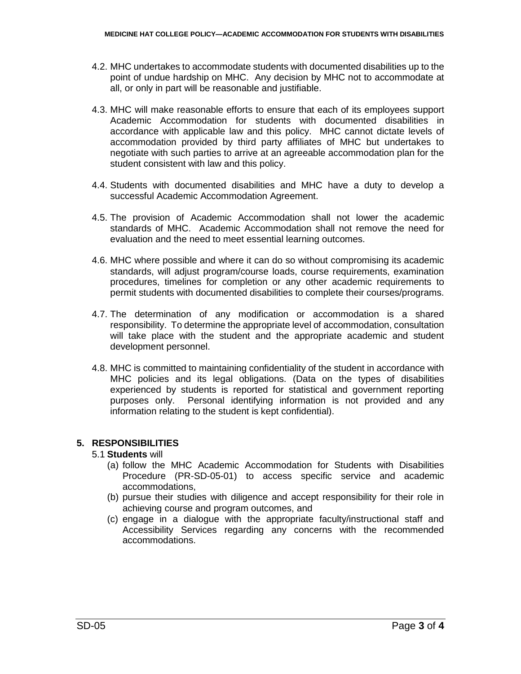- 4.2. MHC undertakes to accommodate students with documented disabilities up to the point of undue hardship on MHC. Any decision by MHC not to accommodate at all, or only in part will be reasonable and justifiable.
- 4.3. MHC will make reasonable efforts to ensure that each of its employees support Academic Accommodation for students with documented disabilities in accordance with applicable law and this policy. MHC cannot dictate levels of accommodation provided by third party affiliates of MHC but undertakes to negotiate with such parties to arrive at an agreeable accommodation plan for the student consistent with law and this policy.
- 4.4. Students with documented disabilities and MHC have a duty to develop a successful Academic Accommodation Agreement.
- 4.5. The provision of Academic Accommodation shall not lower the academic standards of MHC. Academic Accommodation shall not remove the need for evaluation and the need to meet essential learning outcomes.
- 4.6. MHC where possible and where it can do so without compromising its academic standards, will adjust program/course loads, course requirements, examination procedures, timelines for completion or any other academic requirements to permit students with documented disabilities to complete their courses/programs.
- 4.7. The determination of any modification or accommodation is a shared responsibility. To determine the appropriate level of accommodation, consultation will take place with the student and the appropriate academic and student development personnel.
- 4.8. MHC is committed to maintaining confidentiality of the student in accordance with MHC policies and its legal obligations. (Data on the types of disabilities experienced by students is reported for statistical and government reporting purposes only. Personal identifying information is not provided and any information relating to the student is kept confidential).

### **5. RESPONSIBILITIES**

- 5.1 **Students** will
	- (a) follow the MHC Academic Accommodation for Students with Disabilities Procedure (PR-SD-05-01) to access specific service and academic accommodations,
	- (b) pursue their studies with diligence and accept responsibility for their role in achieving course and program outcomes, and
	- (c) engage in a dialogue with the appropriate faculty/instructional staff and Accessibility Services regarding any concerns with the recommended accommodations.